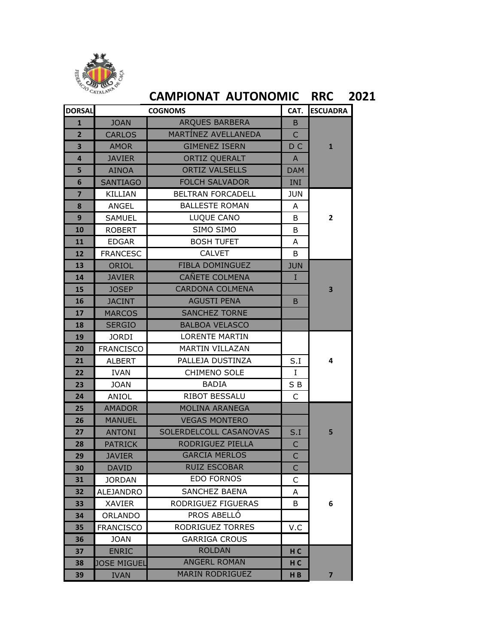

## **CAMPIONAT AUTONOMIC RRC 2021**

| <b>DORSAL</b>           | <b>COGNOMS</b>   |                          |                | <b>ESCUADRA</b>         |  |
|-------------------------|------------------|--------------------------|----------------|-------------------------|--|
| $\mathbf{1}$            | <b>JOAN</b>      | <b>ARQUES BARBERA</b>    | B.             |                         |  |
| $\overline{2}$          | <b>CARLOS</b>    | MARTÍNEZ AVELLANEDA      | $\overline{C}$ |                         |  |
| $\overline{\mathbf{3}}$ | <b>AMOR</b>      | <b>GIMENEZ ISERN</b>     | D C            | $\mathbf{1}$            |  |
| 4                       | <b>JAVIER</b>    | <b>ORTIZ QUERALT</b>     | A              |                         |  |
| 5                       | <b>AINOA</b>     | <b>ORTIZ VALSELLS</b>    | <b>DAM</b>     |                         |  |
| 6                       | <b>SANTIAGO</b>  | <b>FOLCH SALVADOR</b>    | INI            |                         |  |
| $\overline{\mathbf{z}}$ | <b>KILLIAN</b>   | <b>BELTRAN FORCADELL</b> | JUN            |                         |  |
| 8                       | ANGEL            | <b>BALLESTE ROMAN</b>    | A              |                         |  |
| 9                       | <b>SAMUEL</b>    | LUQUE CANO               | B              | $\overline{2}$          |  |
| 10                      | <b>ROBERT</b>    | SIMO SIMO                | B              |                         |  |
| 11                      | <b>EDGAR</b>     | <b>BOSH TUFET</b>        | A              |                         |  |
| 12                      | <b>FRANCESC</b>  | <b>CALVET</b>            | B              |                         |  |
| 13                      | ORIOL            | <b>FIBLA DOMINGUEZ</b>   | <b>JUN</b>     |                         |  |
| 14                      | <b>JAVIER</b>    | CAÑETE COLMENA           | I              |                         |  |
| 15                      | <b>JOSEP</b>     | <b>CARDONA COLMENA</b>   |                | 3                       |  |
| 16                      | <b>JACINT</b>    | <b>AGUSTI PENA</b>       | B              |                         |  |
| 17                      | <b>MARCOS</b>    | <b>SANCHEZ TORNE</b>     |                |                         |  |
| 18                      | <b>SERGIO</b>    | <b>BALBOA VELASCO</b>    |                |                         |  |
| 19                      | <b>JORDI</b>     | <b>LORENTE MARTIN</b>    |                |                         |  |
| 20                      | <b>FRANCISCO</b> | <b>MARTIN VILLAZAN</b>   |                |                         |  |
| 21                      | <b>ALBERT</b>    | PALLEJA DUSTINZA         | S.I            | 4                       |  |
| 22                      | <b>IVAN</b>      | <b>CHIMENO SOLE</b>      | $\mathbf I$    |                         |  |
| 23                      | <b>JOAN</b>      | <b>BADIA</b>             | SB             |                         |  |
| 24                      | ANIOL            | <b>RIBOT BESSALU</b>     | C              |                         |  |
| 25                      | <b>AMADOR</b>    | <b>MOLINA ARANEGA</b>    |                |                         |  |
| 26                      | <b>MANUEL</b>    | <b>VEGAS MONTERO</b>     |                |                         |  |
| 27                      | <b>ANTONI</b>    | SOLERDELCOLL CASANOVAS   | S.I            | 5                       |  |
| 28                      | <b>PATRICK</b>   | RODRIGUEZ PIELLA         | C              |                         |  |
| 29                      | <b>JAVIER</b>    | <b>GARCIA MERLOS</b>     | $\overline{C}$ |                         |  |
| 30                      | DAVID            | <b>RUIZ ESCOBAR</b>      | $\mathsf{C}$   |                         |  |
| 31                      | JORDAN           | <b>EDO FORNOS</b>        | C              |                         |  |
| 32                      | <b>ALEJANDRO</b> | <b>SANCHEZ BAENA</b>     | А              |                         |  |
| 33                      | XAVIER           | RODRIGUEZ FIGUERAS       | B              | 6                       |  |
| 34                      | ORLANDO          | PROS ABELLÓ              |                |                         |  |
| 35                      | <b>FRANCISCO</b> | RODRIGUEZ TORRES         | V.C            |                         |  |
| 36                      | <b>JOAN</b>      | <b>GARRIGA CROUS</b>     |                |                         |  |
| 37                      | <b>ENRIC</b>     | <b>ROLDAN</b>            | H <sub>C</sub> |                         |  |
| 38                      | JOSE MIGUEL      | <b>ANGERL ROMAN</b>      | H C            |                         |  |
| 39                      | <b>IVAN</b>      | <b>MARIN RODRIGUEZ</b>   | H <sub>B</sub> | $\overline{\mathbf{z}}$ |  |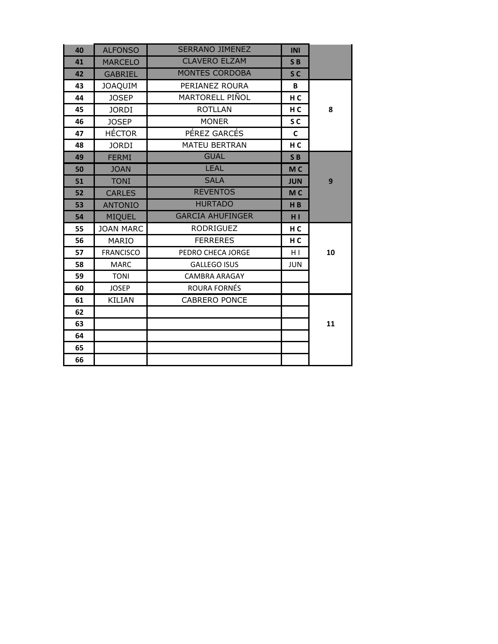| 40 | <b>ALFONSO</b>   | <b>SERRANO JIMENEZ</b>  | <b>INI</b>     |    |
|----|------------------|-------------------------|----------------|----|
| 41 | <b>MARCELO</b>   | <b>CLAVERO ELZAM</b>    | SB             |    |
| 42 | <b>GABRIEL</b>   | <b>MONTES CORDOBA</b>   | S <sub>C</sub> |    |
| 43 | <b>JOAQUIM</b>   | PERIANEZ ROURA          | В              |    |
| 44 | <b>JOSEP</b>     | MARTORELL PIÑOL         | H <sub>C</sub> |    |
| 45 | <b>JORDI</b>     | <b>ROTLLAN</b>          | H <sub>C</sub> | 8  |
| 46 | <b>JOSEP</b>     | <b>MONER</b>            | S <sub>C</sub> |    |
| 47 | <b>HÉCTOR</b>    | PÉREZ GARCÉS            | C              |    |
| 48 | <b>JORDI</b>     | <b>MATEU BERTRAN</b>    | H <sub>C</sub> |    |
| 49 | <b>FERMI</b>     | <b>GUAL</b>             | SB             |    |
| 50 | <b>JOAN</b>      | <b>LEAL</b>             | M <sub>C</sub> |    |
| 51 | <b>TONI</b>      | <b>SALA</b>             | <b>JUN</b>     | 9  |
| 52 | <b>CARLES</b>    | <b>REVENTOS</b>         | M <sub>C</sub> |    |
| 53 | <b>ANTONIO</b>   | <b>HURTADO</b>          | H <sub>B</sub> |    |
| 54 | <b>MIQUEL</b>    | <b>GARCIA AHUFINGER</b> | H <sub>1</sub> |    |
| 55 | <b>JOAN MARC</b> | <b>RODRIGUEZ</b>        | H <sub>C</sub> |    |
| 56 | <b>MARIO</b>     | <b>FERRERES</b>         | H <sub>C</sub> |    |
| 57 | <b>FRANCISCO</b> | PEDRO CHECA JORGE       | HI             | 10 |
| 58 | <b>MARC</b>      | <b>GALLEGO ISUS</b>     | <b>JUN</b>     |    |
| 59 | <b>TONI</b>      | <b>CAMBRA ARAGAY</b>    |                |    |
| 60 | <b>JOSEP</b>     | ROURA FORNÉS            |                |    |
| 61 | KILIAN           | <b>CABRERO PONCE</b>    |                |    |
| 62 |                  |                         |                |    |
| 63 |                  |                         |                | 11 |
| 64 |                  |                         |                |    |
| 65 |                  |                         |                |    |
| 66 |                  |                         |                |    |